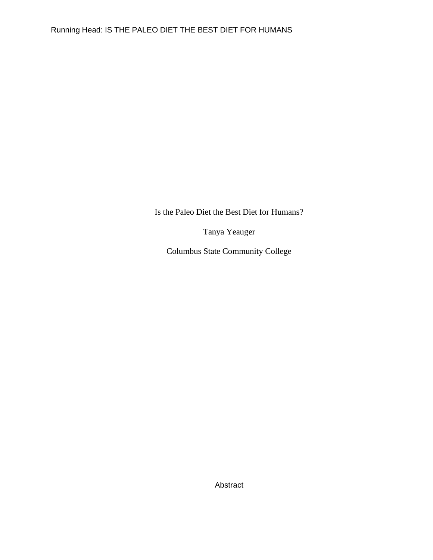Is the Paleo Diet the Best Diet for Humans?

Tanya Yeauger

Columbus State Community College

Abstract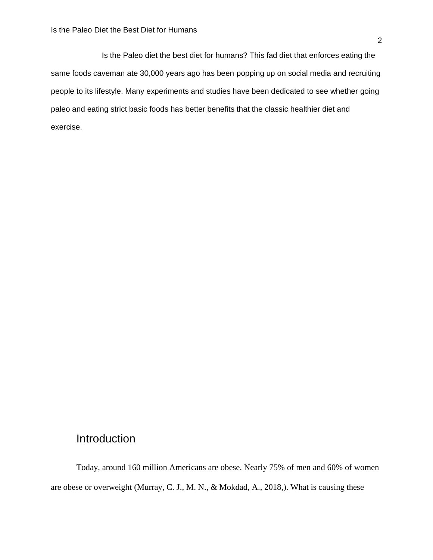Is the Paleo diet the best diet for humans? This fad diet that enforces eating the same foods caveman ate 30,000 years ago has been popping up on social media and recruiting people to its lifestyle. Many experiments and studies have been dedicated to see whether going paleo and eating strict basic foods has better benefits that the classic healthier diet and exercise.

# Introduction

Today, around 160 million Americans are obese. Nearly 75% of men and 60% of women are obese or overweight (Murray, C. J., M. N., & Mokdad, A., 2018,). What is causing these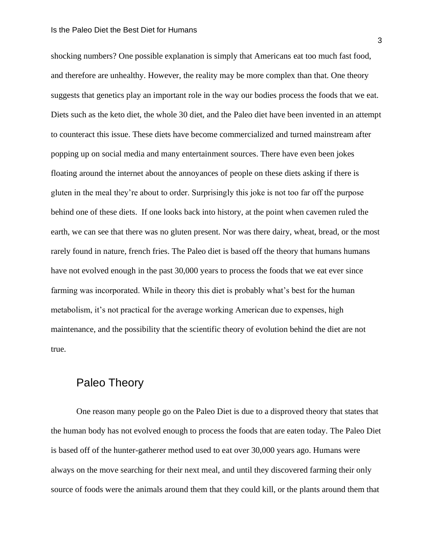#### Is the Paleo Diet the Best Diet for Humans

shocking numbers? One possible explanation is simply that Americans eat too much fast food, and therefore are unhealthy. However, the reality may be more complex than that. One theory suggests that genetics play an important role in the way our bodies process the foods that we eat. Diets such as the keto diet, the whole 30 diet, and the Paleo diet have been invented in an attempt to counteract this issue. These diets have become commercialized and turned mainstream after popping up on social media and many entertainment sources. There have even been jokes floating around the internet about the annoyances of people on these diets asking if there is gluten in the meal they're about to order. Surprisingly this joke is not too far off the purpose behind one of these diets. If one looks back into history, at the point when cavemen ruled the earth, we can see that there was no gluten present. Nor was there dairy, wheat, bread, or the most rarely found in nature, french fries. The Paleo diet is based off the theory that humans humans have not evolved enough in the past 30,000 years to process the foods that we eat ever since farming was incorporated. While in theory this diet is probably what's best for the human metabolism, it's not practical for the average working American due to expenses, high maintenance, and the possibility that the scientific theory of evolution behind the diet are not true.

# Paleo Theory

One reason many people go on the Paleo Diet is due to a disproved theory that states that the human body has not evolved enough to process the foods that are eaten today. The Paleo Diet is based off of the hunter-gatherer method used to eat over 30,000 years ago. Humans were always on the move searching for their next meal, and until they discovered farming their only source of foods were the animals around them that they could kill, or the plants around them that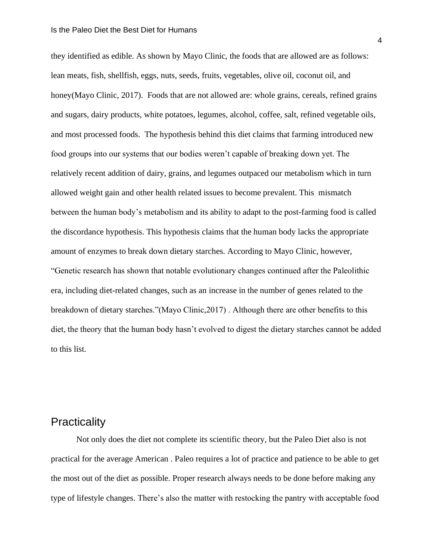they identified as edible. As shown by Mayo Clinic, the foods that are allowed are as follows: lean meats, fish, shellfish, eggs, nuts, seeds, fruits, vegetables, olive oil, coconut oil, and honey(Mayo Clinic, 2017). Foods that are not allowed are: whole grains, cereals, refined grains and sugars, dairy products, white potatoes, legumes, alcohol, coffee, salt, refined vegetable oils, and most processed foods. The hypothesis behind this diet claims that farming introduced new food groups into our systems that our bodies weren't capable of breaking down yet. The relatively recent addition of dairy, grains, and legumes outpaced our metabolism which in turn allowed weight gain and other health related issues to become prevalent. This mismatch between the human body's metabolism and its ability to adapt to the post-farming food is called the discordance hypothesis. This hypothesis claims that the human body lacks the appropriate amount of enzymes to break down dietary starches. According to Mayo Clinic, however, "Genetic research has shown that notable evolutionary changes continued after the Paleolithic era, including diet-related changes, such as an increase in the number of genes related to the breakdown of dietary starches."(Mayo Clinic,2017) . Although there are other benefits to this diet, the theory that the human body hasn't evolved to digest the dietary starches cannot be added to this list.

# **Practicality**

Not only does the diet not complete its scientific theory, but the Paleo Diet also is not practical for the average American . Paleo requires a lot of practice and patience to be able to get the most out of the diet as possible. Proper research always needs to be done before making any type of lifestyle changes. There's also the matter with restocking the pantry with acceptable food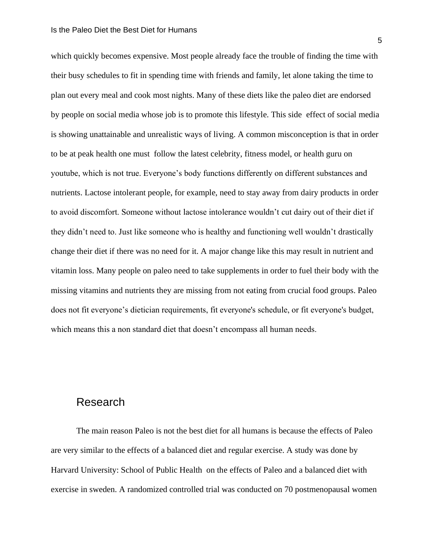which quickly becomes expensive. Most people already face the trouble of finding the time with their busy schedules to fit in spending time with friends and family, let alone taking the time to plan out every meal and cook most nights. Many of these diets like the paleo diet are endorsed by people on social media whose job is to promote this lifestyle. This side effect of social media is showing unattainable and unrealistic ways of living. A common misconception is that in order to be at peak health one must follow the latest celebrity, fitness model, or health guru on youtube, which is not true. Everyone's body functions differently on different substances and nutrients. Lactose intolerant people, for example, need to stay away from dairy products in order to avoid discomfort. Someone without lactose intolerance wouldn't cut dairy out of their diet if they didn't need to. Just like someone who is healthy and functioning well wouldn't drastically change their diet if there was no need for it. A major change like this may result in nutrient and vitamin loss. Many people on paleo need to take supplements in order to fuel their body with the missing vitamins and nutrients they are missing from not eating from crucial food groups. Paleo does not fit everyone's dietician requirements, fit everyone's schedule, or fit everyone's budget, which means this a non standard diet that doesn't encompass all human needs.

#### Research

The main reason Paleo is not the best diet for all humans is because the effects of Paleo are very similar to the effects of a balanced diet and regular exercise. A study was done by Harvard University: School of Public Health on the effects of Paleo and a balanced diet with exercise in sweden. A randomized controlled trial was conducted on 70 postmenopausal women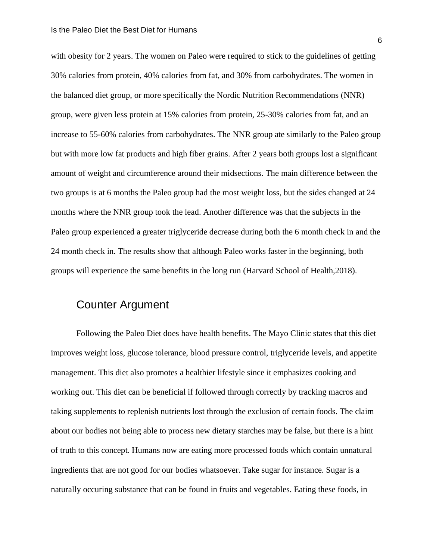#### Is the Paleo Diet the Best Diet for Humans

with obesity for 2 years. The women on Paleo were required to stick to the guidelines of getting 30% calories from protein, 40% calories from fat, and 30% from carbohydrates. The women in the balanced diet group, or more specifically the Nordic Nutrition Recommendations (NNR) group, were given less protein at 15% calories from protein, 25-30% calories from fat, and an increase to 55-60% calories from carbohydrates. The NNR group ate similarly to the Paleo group but with more low fat products and high fiber grains. After 2 years both groups lost a significant amount of weight and circumference around their midsections. The main difference between the two groups is at 6 months the Paleo group had the most weight loss, but the sides changed at 24 months where the NNR group took the lead. Another difference was that the subjects in the Paleo group experienced a greater triglyceride decrease during both the 6 month check in and the 24 month check in. The results show that although Paleo works faster in the beginning, both groups will experience the same benefits in the long run (Harvard School of Health,2018).

### Counter Argument

Following the Paleo Diet does have health benefits. The Mayo Clinic states that this diet improves weight loss, glucose tolerance, blood pressure control, triglyceride levels, and appetite management. This diet also promotes a healthier lifestyle since it emphasizes cooking and working out. This diet can be beneficial if followed through correctly by tracking macros and taking supplements to replenish nutrients lost through the exclusion of certain foods. The claim about our bodies not being able to process new dietary starches may be false, but there is a hint of truth to this concept. Humans now are eating more processed foods which contain unnatural ingredients that are not good for our bodies whatsoever. Take sugar for instance. Sugar is a naturally occuring substance that can be found in fruits and vegetables. Eating these foods, in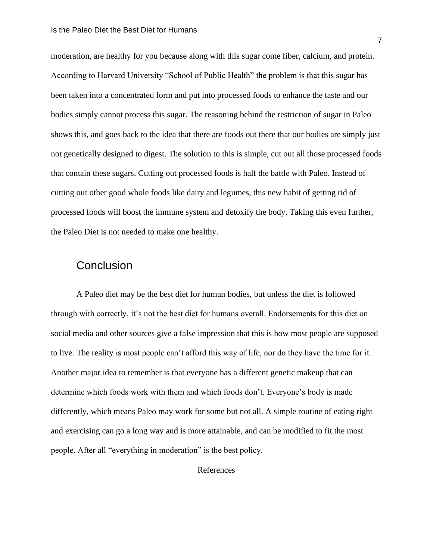moderation, are healthy for you because along with this sugar come fiber, calcium, and protein. According to Harvard University "School of Public Health" the problem is that this sugar has been taken into a concentrated form and put into processed foods to enhance the taste and our bodies simply cannot process this sugar. The reasoning behind the restriction of sugar in Paleo shows this, and goes back to the idea that there are foods out there that our bodies are simply just not genetically designed to digest. The solution to this is simple, cut out all those processed foods that contain these sugars. Cutting out processed foods is half the battle with Paleo. Instead of cutting out other good whole foods like dairy and legumes, this new habit of getting rid of processed foods will boost the immune system and detoxify the body. Taking this even further, the Paleo Diet is not needed to make one healthy.

### **Conclusion**

A Paleo diet may be the best diet for human bodies, but unless the diet is followed through with correctly, it's not the best diet for humans overall. Endorsements for this diet on social media and other sources give a false impression that this is how most people are supposed to live. The reality is most people can't afford this way of life, nor do they have the time for it. Another major idea to remember is that everyone has a different genetic makeup that can determine which foods work with them and which foods don't. Everyone's body is made differently, which means Paleo may work for some but not all. A simple routine of eating right and exercising can go a long way and is more attainable, and can be modified to fit the most people. After all "everything in moderation" is the best policy.

References